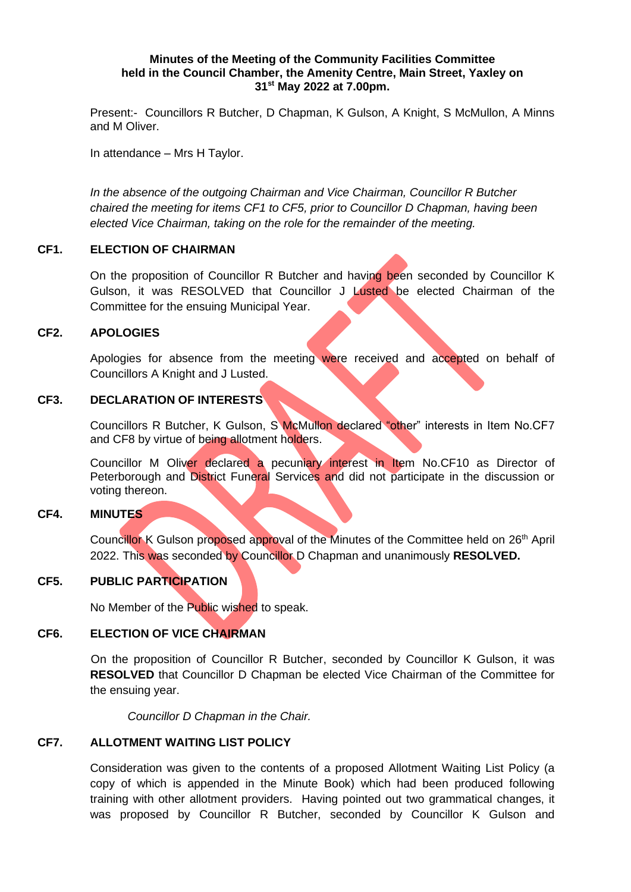#### **Minutes of the Meeting of the Community Facilities Committee held in the Council Chamber, the Amenity Centre, Main Street, Yaxley on 31st May 2022 at 7.00pm.**

Present:- Councillors R Butcher, D Chapman, K Gulson, A Knight, S McMullon, A Minns and M Oliver.

In attendance – Mrs H Taylor.

*In the absence of the outgoing Chairman and Vice Chairman, Councillor R Butcher chaired the meeting for items CF1 to CF5, prior to Councillor D Chapman, having been elected Vice Chairman, taking on the role for the remainder of the meeting.* 

## **CF1. ELECTION OF CHAIRMAN**

On the proposition of Councillor R Butcher and having been seconded by Councillor K Gulson, it was RESOLVED that Councillor J Lusted be elected Chairman of the Committee for the ensuing Municipal Year.

## **CF2. APOLOGIES**

Apologies for absence from the meeting were received and accepted on behalf of Councillors A Knight and J Lusted.

## **CF3. DECLARATION OF INTERESTS**

Councillors R Butcher, K Gulson, S McMullon declared "other" interests in Item No.CF7 and CF8 by virtue of being allotment holders.

Councillor M Oliver declared a pecuniary interest in Item No.CF10 as Director of Peterborough and District Funeral Services and did not participate in the discussion or voting thereon.

#### **CF4. MINUTES**

Councillor K Gulson proposed approval of the Minutes of the Committee held on 26<sup>th</sup> April 2022. This was seconded by Councillor D Chapman and unanimously **RESOLVED.**

# **CF5. PUBLIC PARTICIPATION**

No Member of the Public wished to speak.

#### **CF6. ELECTION OF VICE CHAIRMAN**

On the proposition of Councillor R Butcher, seconded by Councillor K Gulson, it was **RESOLVED** that Councillor D Chapman be elected Vice Chairman of the Committee for the ensuing year.

*Councillor D Chapman in the Chair.*

## **CF7. ALLOTMENT WAITING LIST POLICY**

Consideration was given to the contents of a proposed Allotment Waiting List Policy (a copy of which is appended in the Minute Book) which had been produced following training with other allotment providers. Having pointed out two grammatical changes, it was proposed by Councillor R Butcher, seconded by Councillor K Gulson and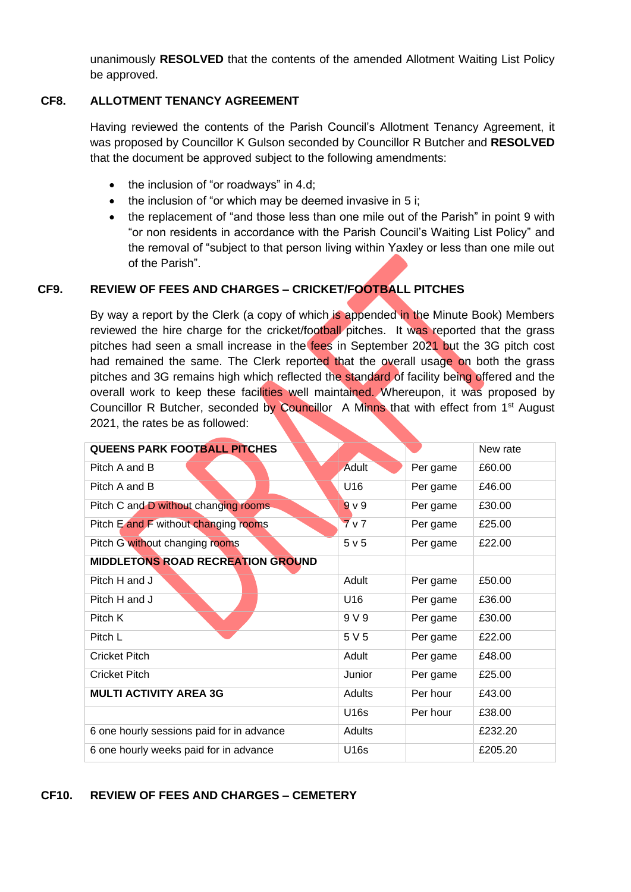unanimously **RESOLVED** that the contents of the amended Allotment Waiting List Policy be approved.

## **CF8. ALLOTMENT TENANCY AGREEMENT**

Having reviewed the contents of the Parish Council's Allotment Tenancy Agreement, it was proposed by Councillor K Gulson seconded by Councillor R Butcher and **RESOLVED** that the document be approved subject to the following amendments:

- the inclusion of "or roadways" in 4.d:
- the inclusion of "or which may be deemed invasive in 5 i;
- the replacement of "and those less than one mile out of the Parish" in point 9 with "or non residents in accordance with the Parish Council's Waiting List Policy" and the removal of "subject to that person living within Yaxley or less than one mile out of the Parish".

# **CF9. REVIEW OF FEES AND CHARGES – CRICKET/FOOTBALL PITCHES**

By way a report by the Clerk (a copy of which is appended in the Minute Book) Members reviewed the hire charge for the cricket/football pitches. It was reported that the grass pitches had seen a small increase in the fees in September 2021 but the 3G pitch cost had remained the same. The Clerk reported that the overall usage on both the grass pitches and 3G remains high which reflected the standard of facility being offered and the overall work to keep these facilities well maintained. Whereupon, it was proposed by Councillor R Butcher, seconded by Councillor A Minns that with effect from 1<sup>st</sup> August 2021, the rates be as followed:

| <b>QUEENS PARK FOOTBALL PITCHES</b>       |                |          | New rate |
|-------------------------------------------|----------------|----------|----------|
| Pitch A and B                             | <b>Adult</b>   | Per game | £60.00   |
| Pitch A and B                             | U16            | Per game | £46.00   |
| Pitch C and D without changing rooms.     | 9 <sub>V</sub> | Per game | £30.00   |
| Pitch E and F without changing rooms      | 7 <sub>v</sub> | Per game | £25.00   |
| Pitch G without changing rooms            | 5 v 5          | Per game | £22.00   |
| MIDDLETONS ROAD RECREATION GROUND         |                |          |          |
| Pitch H and J                             | Adult          | Per game | £50.00   |
| Pitch H and J                             | U16            | Per game | £36.00   |
| Pitch K                                   | 9 V 9          | Per game | £30.00   |
| Pitch L                                   | 5 V 5          | Per game | £22.00   |
| <b>Cricket Pitch</b>                      | Adult          | Per game | £48.00   |
| <b>Cricket Pitch</b>                      | Junior         | Per game | £25.00   |
| <b>MULTI ACTIVITY AREA 3G</b>             | Adults         | Per hour | £43.00   |
|                                           | U16s           | Per hour | £38.00   |
| 6 one hourly sessions paid for in advance | Adults         |          | £232.20  |
| 6 one hourly weeks paid for in advance    | U16s           |          | £205.20  |

# **CF10. REVIEW OF FEES AND CHARGES – CEMETERY**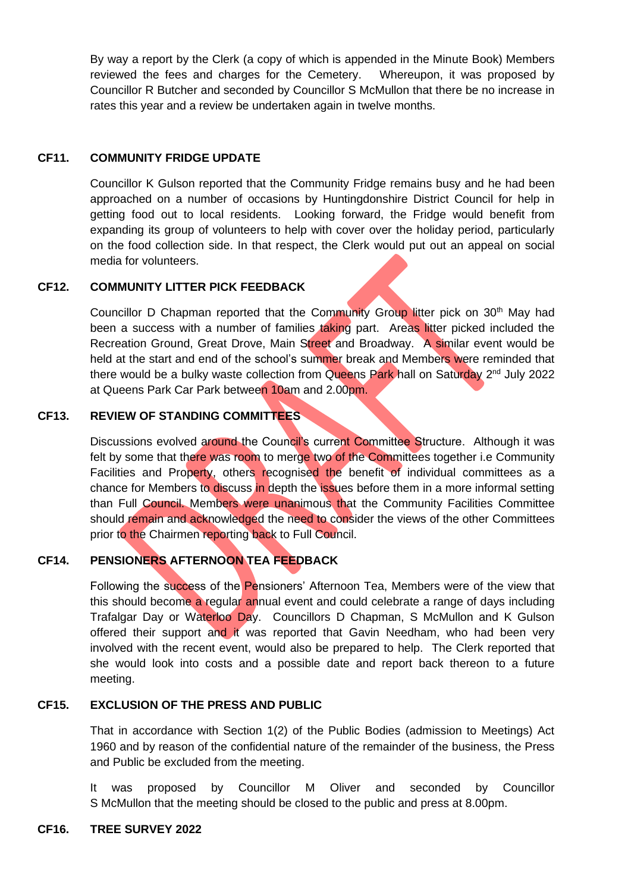By way a report by the Clerk (a copy of which is appended in the Minute Book) Members reviewed the fees and charges for the Cemetery. Whereupon, it was proposed by Councillor R Butcher and seconded by Councillor S McMullon that there be no increase in rates this year and a review be undertaken again in twelve months.

#### **CF11. COMMUNITY FRIDGE UPDATE**

Councillor K Gulson reported that the Community Fridge remains busy and he had been approached on a number of occasions by Huntingdonshire District Council for help in getting food out to local residents. Looking forward, the Fridge would benefit from expanding its group of volunteers to help with cover over the holiday period, particularly on the food collection side. In that respect, the Clerk would put out an appeal on social media for volunteers.

## **CF12. COMMUNITY LITTER PICK FEEDBACK**

Councillor D Chapman reported that the Community Group litter pick on 30<sup>th</sup> May had been a success with a number of families taking part. Areas litter picked included the Recreation Ground, Great Drove, Main Street and Broadway. A similar event would be held at the start and end of the school's summer break and Members were reminded that there would be a bulky waste collection from Queens Park hall on Saturday 2<sup>nd</sup> July 2022 at Queens Park Car Park between 10am and 2.00pm.

# **CF13. REVIEW OF STANDING COMMITTEES**

Discussions evolved around the Council's current Committee Structure. Although it was felt by some that there was room to merge two of the Committees together i.e Community Facilities and Property, others recognised the benefit of individual committees as a chance for Members to discuss in depth the issues before them in a more informal setting than Full Council. Members were unanimous that the Community Facilities Committee should remain and acknowledged the need to consider the views of the other Committees prior to the Chairmen reporting back to Full Council.

## **CF14. PENSIONERS AFTERNOON TEA FEEDBACK**

Following the success of the Pensioners' Afternoon Tea, Members were of the view that this should become a regular annual event and could celebrate a range of days including Trafalgar Day or Waterloo Day. Councillors D Chapman, S McMullon and K Gulson offered their support and it was reported that Gavin Needham, who had been very involved with the recent event, would also be prepared to help. The Clerk reported that she would look into costs and a possible date and report back thereon to a future meeting.

#### **CF15. EXCLUSION OF THE PRESS AND PUBLIC**

That in accordance with Section 1(2) of the Public Bodies (admission to Meetings) Act 1960 and by reason of the confidential nature of the remainder of the business, the Press and Public be excluded from the meeting.

It was proposed by Councillor M Oliver and seconded by Councillor S McMullon that the meeting should be closed to the public and press at 8.00pm.

#### **CF16. TREE SURVEY 2022**